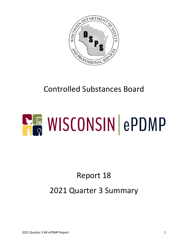

## Controlled Substances Board

# **ELE WISCONSIN ePDMP**

## Report 18 2021 Quarter 3 Summary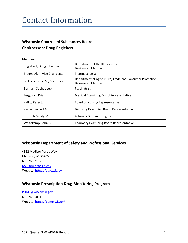#### Contact Information

#### **Wisconsin Controlled Substances Board Chairperson: Doug Englebert**

#### **Members:**

| Englebert, Doug, Chairperson  | Department of Health Services<br><b>Designated Member</b>                            |
|-------------------------------|--------------------------------------------------------------------------------------|
| Bloom, Alan, Vice Chairperson | Pharmacologist                                                                       |
| Bellay, Yvonne M., Secretary  | Department of Agriculture, Trade and Consumer Protection<br><b>Designated Member</b> |
| Barman, Subhadeep             | Psychiatrist                                                                         |
| Ferguson, Kris                | <b>Medical Examining Board Representative</b>                                        |
| Kallio, Peter J.              | <b>Board of Nursing Representative</b>                                               |
| Kaske, Herbert M.             | Dentistry Examining Board Representative                                             |
| Koresch, Sandy M.             | <b>Attorney General Designee</b>                                                     |
| Weitekamp, John G.            | <b>Pharmacy Examining Board Representative</b>                                       |

#### **Wisconsin Department of Safety and Professional Services**

4822 Madison Yards Way Madison, WI 53705 608-266-2112 [DSPS@wisconsin.gov](mailto:DSPS@wisconsin.gov) Website[: https://dsps.wi.gov](https://dsps.wi.gov/)

#### **Wisconsin Prescription Drug Monitoring Program**

[PDMP@wisconsin.gov](mailto:PDMP@wisconsin.gov) 608-266-0011 Website[: https://pdmp.wi.gov/](https://pdmp.wi.gov/)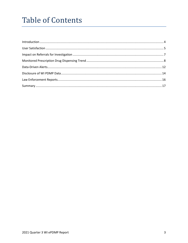## **Table of Contents**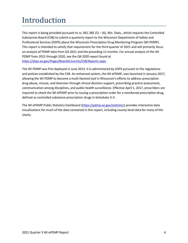## <span id="page-3-0"></span>Introduction

This report is being provided pursuant to ss.  $961.385(5) - (6)$ , Wis. Stats., which requires the Controlled Substances Board (CSB) to submit a quarterly report to the Wisconsin Department of Safety and Professional Services (DSPS) about the Wisconsin Prescription Drug Monitoring Program (WI PDMP). This report is intended to satisfy that requirement for the third quarter of 2021 and will primarily focus on analysis of PDMP data from Q3 2021 and the preceding 12 months. For annual analysis of the WI PDMP from 2015 through 2020, see the Q4 2020 report found at [https://dsps.wi.gov/Pages/BoardsCouncils/CSB/Reports.aspx.](https://dsps.wi.gov/Pages/BoardsCouncils/CSB/Reports.aspx)

The WI PDMP was first deployed in June 2013. It is administered by DSPS pursuant to the regulations and policies established by the CSB. An enhanced system, the WI ePDMP, was launched in January 2017, allowing the WI PDMP to become a multi-faceted tool in Wisconsin's efforts to address prescription drug abuse, misuse, and diversion through clinical decision support, prescribing practice assessment, communication among disciplines, and public health surveillance. Effective April 1, 2017, prescribers are required to check the WI ePDMP prior to issuing a prescription order for a monitored prescription drug, defined as controlled substance prescription drugs in Schedules II-V.

The WI ePDMP Public Statistics Dashboard [\(https://pdmp.wi.gov/statistics\)](https://pdmp.wi.gov/statistics) provides interactive data visualizations for much of the data contained in this report, including county-level data for many of the charts.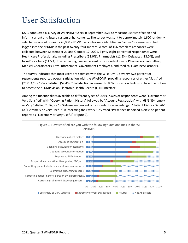## <span id="page-4-0"></span>User Satisfaction

DSPS conducted a survey of WI ePDMP users in September 2021 to measure user satisfaction and inform current and future system enhancements. The survey was sent to approximately 1,600 randomly selected users out of nearly 26,000 ePDMP users who were identified as "active," or users who had logged into the ePDMP in the past twenty-four months. A total of 166 complete responses were collected between September 21 and October 17, 2021. Eighty-eight percent of respondents were Healthcare Professionals, including Prescribers (52.0%), Pharmacists (11.5%), Delegates (13.0%), and Non-Prescribers (11.5%). The remaining twelve percent of respondents were Pharmacies, Submitters, Medical Coordinators, Law Enforcement, Government Employees, and Medical Examiner/Coroners.

The survey indicates that most users are satisfied with the WI ePDMP. Seventy-two percent of respondents reported overall satisfaction with the WI ePDMP, providing responses of either "Satisfied (20.0 %)" or "Very Satisfied (52.4%)." Satisfaction increased to 80% for respondents who have the option to access the ePDMP via an Electronic Health Record (EHR) interface.

Among the functionalities available to different types of users, 73%% of respondents were "Extremely or Very Satisfied" with "Querying Patient History" followed by "Account Registration" with 63% "Extremely or Very Satisfied." (Figure 1). Sixty-seven percent of respondents acknowledged "Patient History Details" as "Extremely or Very Useful" in informing their work 59% rated "Prescriber-Reported Alerts" on patient reports as "Extremely or Very Useful" (Figure 2).

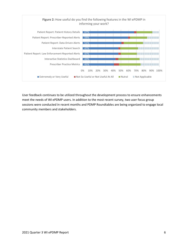

User feedback continues to be utilized throughout the development process to ensure enhancements meet the needs of WI ePDMP users. In addition to the most recent survey, two user focus group sessions were conducted in recent months and PDMP Roundtables are being organized to engage local community members and stakeholders.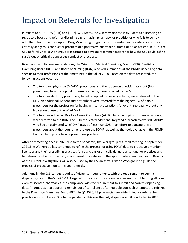## <span id="page-6-0"></span>Impact on Referrals for Investigation

Pursuant to s. 961.385 (2) (f) and (3) (c), Wis. Stats., the CSB may disclose PDMP data to a licensing or regulatory board and refer for discipline a pharmacist, pharmacy, or practitioner who fails to comply with the rules of the Prescription Drug Monitoring Program or if circumstances indicate suspicious or critically dangerous conduct or practices of a pharmacy, pharmacist, practitioner, or patient. In 2018, the CSB Referral Criteria Workgroup was formed to develop recommendations for how the CSB could define suspicious or critically dangerous conduct or practices.

Based on the initial recommendations, the Wisconsin Medical Examining Board (MEB), Dentistry Examining Board (DEB), and Board of Nursing (BON) received summaries of the PDMP dispensing data specific to their professions at their meetings in the fall of 2018. Based on the data presented, the following actions occurred:

- The top seven physician (MD/DO) prescribers and the top seven physician assistant (PA) prescribers, based on opioid dispensing volume, were referred to the MEB.
- The top four dentistry prescribers, based on opioid dispensing volume, were referred to the DEB. An additional 12 dentistry prescribers were referred from the highest 1% of opioid prescribers for the profession for having written prescriptions for over three days without any indication of use of the WI ePDMP.
- The top four Advanced Practice Nurse Prescribers (APNP), based on opioid dispensing volume, were referred to the BON. The BON requested additional targeted outreach to over 800 APNPs who had an estimated WI ePDMP usage of less than 50% in an effort to educate these prescribers about the requirement to use the PDMP, as well as the tools available in the PDMP that can help promote safe prescribing practices.

After only meeting once in 2020 due to the pandemic, the Workgroup resumed meeting in September 2021.The Workgroup has continued to refine the process for using PDMP data to proactively monitor licensees and their prescribing practices for suspicious or critically dangerous conduct or practices and to determine when such activity should result in a referral to the appropriate examining board. Results of the current investigations will also be used by the CSB Referral Criteria Workgroup to guide the process of proactive monitoring and referrals.

Additionally, the CSB conducts audits of dispenser requirements with the requirement to submit dispensing data to the WI ePDMP. Targeted outreach efforts are made after each audit to bring all nonexempt licensed pharmacies into compliance with the requirement to submit and correct dispensing data. Pharmacies that appear to remain out of compliance after multiple outreach attempts are referred to the Pharmacy Examining Board (PEB). In Q1 2020, 23 pharmacies were identified for referral for possible noncompliance. Due to the pandemic, this was the only dispenser audit conducted in 2020.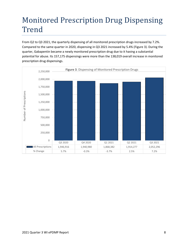## <span id="page-7-0"></span>Monitored Prescription Drug Dispensing Trend

From Q2 to Q3 2021, the quarterly dispensing of all monitored prescription drugs increased by 7.2%. Compared to the same quarter in 2020, dispensing in Q3 2021 increased by 5.4% (Figure 3). During the quarter, Gabapentin became a newly monitored prescription drug due to it having a substantial potential for abuse. Its 157,175 dispensings were more than the 138,019 overall increase in monitored prescription drug dispensings.

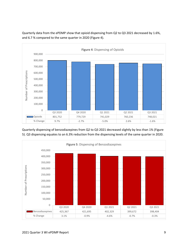

Quarterly data from the ePDMP show that opioid dispensing from Q2 to Q3 2021 decreased by 1.6%, and 6.7 % compared to the same quarter in 2020 (Figure 4).

Quarterly dispensing of benzodiazepines from Q2 to Q3 2021 decreased slightly by less than 1% (Figure 5). Q3 dispensing equates to an 6.3% reduction from the dispensing levels of the same quarter in 2020.

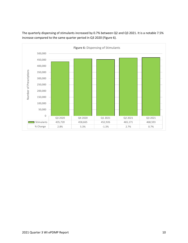

The quarterly dispensing of stimulants increased by 0.7% between Q2 and Q3 2021. It is a notable 7.5% increase compared to the same quarter period in Q3 2020 (Figure 6).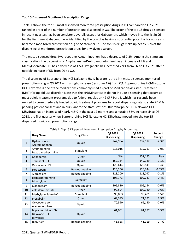#### **Top 15 Dispensed Monitored Prescription Drugs**

Table 1 shows the top 15 most dispensed monitored prescription drugs in Q3 compared to Q2 2021, ranked in order of the number of prescriptions dispensed in Q3. The order of the top 15 drugs dispensed in recent quarters has been consistent overall, except for Gabapentin, which moved into the list in Q3 for the first time. Gabapentin was identified by the board as having a substantial potential for abuse and became a monitored prescription drug on September 1<sup>st</sup>. The top 15 drugs make up nearly 88% of the dispensing of monitored prescription drugs for any given quarter.

The most dispensed drug, Hydrocodone-Acetaminophen, has a decrease of 2.3%. Among the stimulant classification, the dispensing of Amphetamine-Dextroamphetamine has an increase of 2% and Methylphenidate HCl has a decrease of 1.5%. Pregabalin has increased 2.9% from Q2 to Q3 2021 after a notable increase of 5% from Q1 to Q2.

The dispensing of Buprenorphine HCl-Naloxone HCl Dihydrate is the 14th most dispensed monitored prescription drug in Q3 2021 with a slight increase (less than 1%) from Q2. Buprenorphine HCl-Naloxone HCl Dihydrate is one of the medications commonly used as part of Medication-Assisted Treatment (MAT) for opioid use disorder. Note that the ePDMP statistics do not include dispensing that occurs at most opioid treatment programs due to federal regulation 42 CFR Part 2, which has recently been revised to permit federally funded opioid treatment programs to report dispensing data to state PDMPs pending patient consent and in pursuant to the state statutes. Buprenorphine HCl-Naloxone HCl Dihydrate has an increase of nearly 4.5% in the past 12 months and a notable 55% increase since Q3 2018, the first quarter when Buprenorphine HCl-Naloxone HCl Dihydrate moved into the top 15 dispensed monitored prescription drugs.

| Table 1: Top 15 Dispensed Monitored Prescription Drug by Dispensing |                                                        |                   |                   |                   |         |  |  |
|---------------------------------------------------------------------|--------------------------------------------------------|-------------------|-------------------|-------------------|---------|--|--|
| <b>Drug Name</b>                                                    |                                                        | <b>Drug Class</b> | Q2 2021           | Q3 2021           | Percent |  |  |
|                                                                     |                                                        |                   | <b>Dispensing</b> | <b>Dispensing</b> | Change  |  |  |
| $\mathbf{1}$                                                        | Hydrocodone-<br>Acetaminophen                          | Opioid            | 242,984           | 237,512           | $-2.3%$ |  |  |
| $\overline{2}$                                                      | Amphetamine-<br>Dextroamphetamine                      | Stimulant         | 215,016           | 219,217           | 2.0%    |  |  |
| 3                                                                   | Gabapentin                                             | Other             | N/A               | 157,175           | N/A     |  |  |
| 4                                                                   | <b>Tramadol HCl</b>                                    | Opioid            | 150,734           | 149,149           | $-1.1%$ |  |  |
| 5                                                                   | Oxycodone HCl                                          | Opioid            | 128,614           | 126,841           | $-1.4%$ |  |  |
| 6                                                                   | Lorazepam                                              | Benzodiazepine    | 126,206           | 126,244           | 0.03%   |  |  |
| 7                                                                   | Alprazolam                                             | Benzodiazepine    | 118,200           | 118,097           | $-0.1%$ |  |  |
| 8                                                                   | Lisdexamfetamine<br>Dimesylate                         | Stimulant         | 108,773           | 109,237           | 0.4%    |  |  |
| 9                                                                   | Clonazepam                                             | Benzodiazepine    | 106,830           | 106,144           | $-0.6%$ |  |  |
| 10                                                                  | Zolpidem Tartrate                                      | Other             | 99,594            | 100,180           | 0.6%    |  |  |
| 11                                                                  | Methylphenidate HCl                                    | Stimulant         | 99,893            | 98,401            | $-1.5%$ |  |  |
| 12                                                                  | Pregabalin                                             | Other             | 69,395            | 71,392            | 2.9%    |  |  |
| 13                                                                  | Oxycodone w/<br>Acetaminophen                          | Opioid            | 70,590            | 69,150            | $-2.0%$ |  |  |
| 14                                                                  | <b>Buprenorphine HCl-</b><br>Naloxone HCl<br>Dihydrate | Opioid            | 61,061            | 61,257            | 0.3%    |  |  |
| 15                                                                  | Diazepam                                               | Benzodiazepine    | 41,828            | 41,119            | $-1.7%$ |  |  |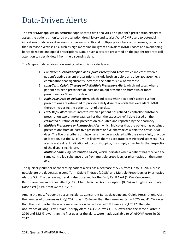## <span id="page-11-0"></span>Data-Driven Alerts

The WI ePDMP application performs sophisticated data analytics on a patient's prescription history to assess the patient's monitored prescription drug history and to alert WI ePDMP users to potential indications of abuse or diversion, such as early refills and multiple prescribers or dispensers, or factors that increase overdose risk, such as high morphine milligram equivalent (MME) doses and overlapping benzodiazepine and opioid prescriptions. Data-driven alerts are presented on the patient report to call attention to specific detail from the dispensing data.

The 6 types of data-driven concerning patient history alerts are:

- 1. *Concurrent Benzodiazepine and Opioid Prescription Alert*, which indicates when a patient's active current prescriptions include both an opioid and a benzodiazepine, a combination that significantly increases the patient's risk of overdose.
- 2. *Long-Term Opioid Therapy with Multiple Prescribers Alert*, which indicates when a patient has been prescribed at least one opioid prescription from two or more prescribers for 90 or more days.
- 3. *High Daily Dose of Opioids Alert*, which indicates when a patient's active current prescriptions are estimated to provide a daily dose of opioids that exceeds 90 MME, thereby increasing the patient's risk of overdose.
- 4. *Early Refill Alert*, which indicates when a patient has refilled a controlled substance prescription two or more days earlier than the expected refill date based on the estimated duration of the prescription calculated and reported by the pharmacy.
- 5. *Multiple Prescribers or Pharmacies Alert*, which indicates that the patient has obtained prescriptions from at least five prescribers or five pharmacies within the previous 90 days. The five prescribers or dispensers may be associated with the same clinic, practice or location, but the WI ePDMP still views them as separate prescribers/dispensers. This alert is not a direct indication of doctor shopping; it is simply a flag for further inspection of the dispensing history.
- 6. *Multiple Same Day Prescriptions Alert*, which indicates when a patient has received the same controlled substance drug from multiple prescribers or pharmacies on the same day.

The quarterly number of concerning patient alerts has a decrease of 5.2% from Q2 to Q3 2021. Most notable are the decreases in Long Term Opioid Therapy (10.8%) and Multiple Prescribers or Pharmacies Alert (8.5%). The decreasing trend is also observed for the Early Refill Alert (2.7%), Concurrent Benzodiazepine and Opioid Alert (2.7%), Multiple Same Day Prescription (0.5%) and High Opioid Daily Dose alert (0.4%) from Q2 to Q3 2021.

Among the most frequently occurring alerts, Concurrent Benzodiazepine and Opioid Prescriptions Alert, the number of occurrences in Q3 2021 was 4.5% lower than the same quarter in 2020 and 41.4% lower than the first quarter the alerts were made available to WI ePDMP users in Q1 2017. The rate of occurrence of Long-Term Opioid Therapy Alert in Q3 2021 was 11.9% lower than the same quarter in 2020 and 35.5% lower than the first quarter the alerts were made available to WI ePDMP users in Q1 2017.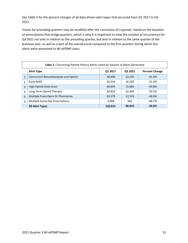See Table 2 for the percent changes of all data-driven alert types that occurred from Q1 2017 to Q3 2021.

Values for preceding quarters may be modified after the conclusion of a quarter, based on the duration of prescriptions that bridge quarters, which is why it is important to view the number of occurrences for Q3 2021 not only in relation to the preceding quarter, but also in relation to the same quarter of the previous year, as well as a part of the overall trend compared to the first quarters during which the alerts were presented to WI ePDMP users.

| Table 2. Concerning Patient History Alerts Listed by Volume of Alerts Generated |                                      |         |         |                       |  |  |  |
|---------------------------------------------------------------------------------|--------------------------------------|---------|---------|-----------------------|--|--|--|
|                                                                                 | <b>Alert Type</b>                    | Q1 2017 | Q3 2021 | <b>Percent Change</b> |  |  |  |
| $\mathbf{1}$                                                                    | Concurrent Benzodiazepine and Opioid | 38,446  | 22,545  | $-41.4%$              |  |  |  |
| $\overline{2}$                                                                  | Early Refill                         | 24,354  | 16,762  | $-31.2%$              |  |  |  |
| 3                                                                               | <b>High Opioid Daily Dose</b>        | 40,005  | 15,685  | $-60.8%$              |  |  |  |
| 4                                                                               | Long Term Opioid Therapy             | 34,819  | 22,443  | $-35.5%$              |  |  |  |
| 5                                                                               | Multiple Prescribers Or Pharmacies   | 24,379  | 12,533  | $-48.6%$              |  |  |  |
| 6                                                                               | Multiple Same Day Prescriptions      | 3,009   | 942     | $-68.7\%$             |  |  |  |
|                                                                                 | <b>All Alert Types</b>               | 165,012 | 90,910  | $-44.9%$              |  |  |  |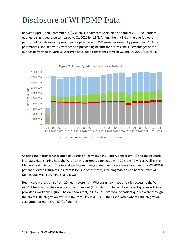## <span id="page-13-0"></span>Disclosure of WI PDMP Data

Between April 1 and September 30 (Q3), 2021, healthcare users made a total of 2,011,381 patient queries, a slight decrease compared to Q1 2021 by 1.9%. Among them, 43% of the queries were performed by delegates of prescribers or pharmacists, 35% were performed by prescribers, 18% by pharmacists, and nearly 4% by other non-prescribing healthcare professionals. Percentages of the queries performed by various user type have been consistent between Q2 and Q3 2021 (Figure 7).



Utilizing the National Association of Boards of Pharmacy's PMP InterConnect (PMPi) and the RxCheck interstate data sharing hub, the WI ePDMP is currently connected with 29 state PDMPs as well as the Military Health System. This interstate data exchange allows healthcare users to expand the WI ePDMP patient query to return results from PDMPs in other states, including Wisconsin's border states of Minnesota, Michigan, Illinois, and Iowa.

Healthcare professionals from 20 health systems in Wisconsin now have one-click access to the WI ePDMP from within their electronic health record (EHR) platform to facilitate patient queries within a provider's workflow. Figure 8 below shows that, in Q3 2021, over 55% of patient queries were through the direct EHR integration, which is up from 51% in Q4 2019, the first quarter where EHR integration accounted for more than 50% of queries.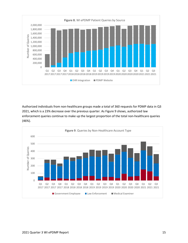

Authorized individuals from non-healthcare groups made a total of 360 requests for PDMP data in Q3 2021, which is a 23% decrease over the previous quarter. As Figure 9 shows, authorized law enforcement queries continue to make up the largest proportion of the total non-healthcare queries (46%).

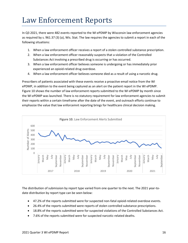#### <span id="page-15-0"></span>Law Enforcement Reports

In Q3 2021, there were 482 events reported to the WI ePDMP by Wisconsin law enforcement agencies as required by s. [961.37 \(3\) \(a\),](https://docs.legis.wisconsin.gov/document/statutes/961.37(3)(a)) Wis. Stat. The law requires the agencies to submit a report in each of the following situations:

- 1. When a law enforcement officer receives a report of a stolen controlled substance prescription.
- 2. When a law enforcement officer reasonably suspects that a violation of the Controlled Substances Act involving a prescribed drug is occurring or has occurred.
- 3. When a law enforcement officer believes someone is undergoing or has immediately prior experienced an opioid-related drug overdose.
- 4. When a law enforcement officer believes someone died as a result of using a narcotic drug.

Prescribers of patients associated with these events receive a proactive email notice from the WI ePDMP, in addition to the event being captured as an alert on the patient report in the WI ePDMP. Figure 10 shows the number of law enforcement reports submitted to the WI ePDMP by month since the WI ePDMP was launched. There is no statutory requirement for law enforcement agencies to submit their reports within a certain timeframe after the date of the event, and outreach efforts continue to emphasize the value that law enforcemnt reporting brings for healthcare clinical decision making.



The distribution of submission by report type varied from one quarter to the next. The 2021 year-todate distribution by report type can be seen below:

- 47.2% of the reports submitted were for suspected non-fatal opioid-related overdose events.
- 26.4% of the reports submitted were reports of stolen controlled substance prescriptions.
- 18.8% of the reports submitted were for suspected violations of the Controlled Substances Act.
- 7.6% of the reports submitted were for suspected narcotic-related deaths.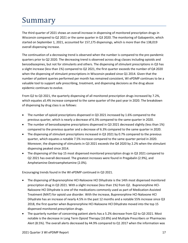## <span id="page-16-0"></span>Summary

The third quarter of 2021 shows an overall increase in dispensing of monitored prescription drugs in Wisconsin compared to Q2 2021 or the same quarter in Q3 2020. The monitoring of Gabapentin, which started on September 1, 2021, accounted for 157,175 dispensings, which is more than the 138,019 overall dispensing increase.

The continuation of a decreasing trend is observed when the number is compared to the pre-pandemic quarters prior to Q2 2020. The decreasing trend is observed across drug classes including opioids and benzodiazepines, but not for stimulants and others. The dispensing of stimulant prescriptions in Q3 has a slight increase (less than 1%) compared to Q2 2021, the first quarter exceeds the number of Q4 2020 when the dispensing of stimulant prescriptions in Wisconsin peaked since Q1 2014. Given that the number of patient queries performed per month has remained consistent, WI ePDMP continues to be a valuable tool to support safe prescribing, treatment, and dispensing decisions as the drug abuse epidemic continues to evolve.

From Q2 to Q3 2021, the quarterly dispensing of all monitored prescription drugs increased by 7.2%, which equates a5.4% increase compared to the same quarter of the past year in 2020. The breakdown of dispensing by drug class is as follows:

- The number of opioid prescriptions dispensed in Q3 2021 increased by 1.6% compared to the previous quarter, which is nearly a decrease of 6.3% compared to the same quarter in 2020.
- The number of benzodiazepine prescriptions dispensed in Q3 2021 decreased slightly (less than 1%) compared to the previous quarter and a decrease of 6.3% compared to the same quarter in 2020.
- The dispensing of stimulant prescriptions increased in Q3 2021 by 0.7% compared to the previous quarter, which equates a notable 7.5% increase compared to the same quarter period in 2020. Moreover, the dispensing of stimulants in Q3 2021 exceeds the Q4 2020 by 2.2% when the stimulant dispensing peaked since 2014.
- The dispensing of the top 15 most dispensed monitored prescription drugs in Q3 2021 compared to Q2 2021 has overall decreased. The greatest increases were found in Pregabalin (2.9%), and Amphetamine-Dextroamphetamine (2.0%).

Encouraging trends found in the WI ePDMP continued in Q3 2021.

- The dispensing of Buprenorphine HCl-Naloxone HCl Dihydrate is the 14th most dispensed monitored prescription drug in Q3 2021. With a slight increase (less than 1%) from Q2. Buprenorphine HCl-Naloxone HCl Dihydrate is one of the medications commonly used as part of Medication-Assisted Treatment (MAT) for opioid use disorder. With the increase, Buprenorphine HCl-Naloxone HCl Dihydrate has an increase of nearly 4.5% in the past 12 months and a notable 55% increase since Q3 2018, the first quarter when Buprenorphine HCl-Naloxone HCl Dihydrate moved into the top 15 dispensed monitored prescription drugs.
- The quarterly number of concerning patient alerts has a 5.2% decrease from Q2 to Q3 2021. Most notable is the decrease in Long Term Opioid Therapy (10.8%) and Multiple Prescribers or Pharmacies Alert (8.5%). The overall alerts decreased by 44.9% compared to Q1 2017 when the information was